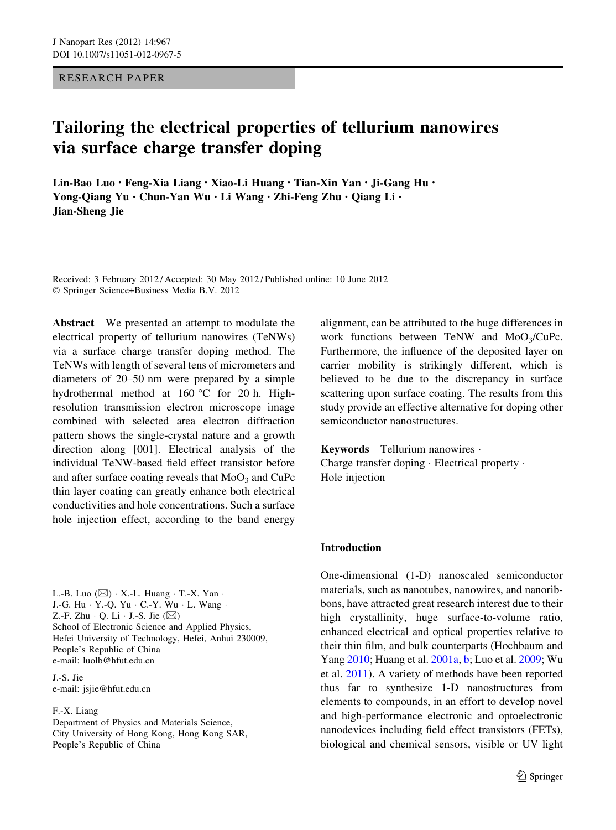RESEARCH PAPER

# Tailoring the electrical properties of tellurium nanowires via surface charge transfer doping

Lin-Bao Luo • Feng-Xia Liang • Xiao-Li Huang • Tian-Xin Yan • Ji-Gang Hu • Yong-Qiang Yu • Chun-Yan Wu • Li Wang • Zhi-Feng Zhu • Qiang Li • Jian-Sheng Jie

Received: 3 February 2012 / Accepted: 30 May 2012 / Published online: 10 June 2012 © Springer Science+Business Media B.V. 2012

Abstract We presented an attempt to modulate the electrical property of tellurium nanowires (TeNWs) via a surface charge transfer doping method. The TeNWs with length of several tens of micrometers and diameters of 20–50 nm were prepared by a simple hydrothermal method at  $160^{\circ}$ C for 20 h. Highresolution transmission electron microscope image combined with selected area electron diffraction pattern shows the single-crystal nature and a growth direction along [001]. Electrical analysis of the individual TeNW-based field effect transistor before and after surface coating reveals that  $MoO<sub>3</sub>$  and CuPc thin layer coating can greatly enhance both electrical conductivities and hole concentrations. Such a surface hole injection effect, according to the band energy

L.-B. Luo  $(\boxtimes) \cdot X$ .-L. Huang  $\cdot$  T.-X. Yan  $\cdot$ J.-G. Hu - Y.-Q. Yu - C.-Y. Wu - L. Wang - Z.-F. Zhu  $\cdot$  Q. Li  $\cdot$  J.-S. Jie ( $\boxtimes$ ) School of Electronic Science and Applied Physics, Hefei University of Technology, Hefei, Anhui 230009, People's Republic of China e-mail: luolb@hfut.edu.cn

J.-S. Jie e-mail: jsjie@hfut.edu.cn

#### F.-X. Liang

Department of Physics and Materials Science, City University of Hong Kong, Hong Kong SAR, People's Republic of China

alignment, can be attributed to the huge differences in work functions between TeNW and  $MoO<sub>3</sub>/CuPc$ . Furthermore, the influence of the deposited layer on carrier mobility is strikingly different, which is believed to be due to the discrepancy in surface scattering upon surface coating. The results from this study provide an effective alternative for doping other semiconductor nanostructures.

Keywords Tellurium nanowires - Charge transfer doping - Electrical property - Hole injection

#### Introduction

One-dimensional (1-D) nanoscaled semiconductor materials, such as nanotubes, nanowires, and nanoribbons, have attracted great research interest due to their high crystallinity, huge surface-to-volume ratio, enhanced electrical and optical properties relative to their thin film, and bulk counterparts (Hochbaum and Yang [2010](#page-7-0); Huang et al. [2001a,](#page-7-0) [b](#page-7-0); Luo et al. [2009](#page-8-0); Wu et al. [2011](#page-8-0)). A variety of methods have been reported thus far to synthesize 1-D nanostructures from elements to compounds, in an effort to develop novel and high-performance electronic and optoelectronic nanodevices including field effect transistors (FETs), biological and chemical sensors, visible or UV light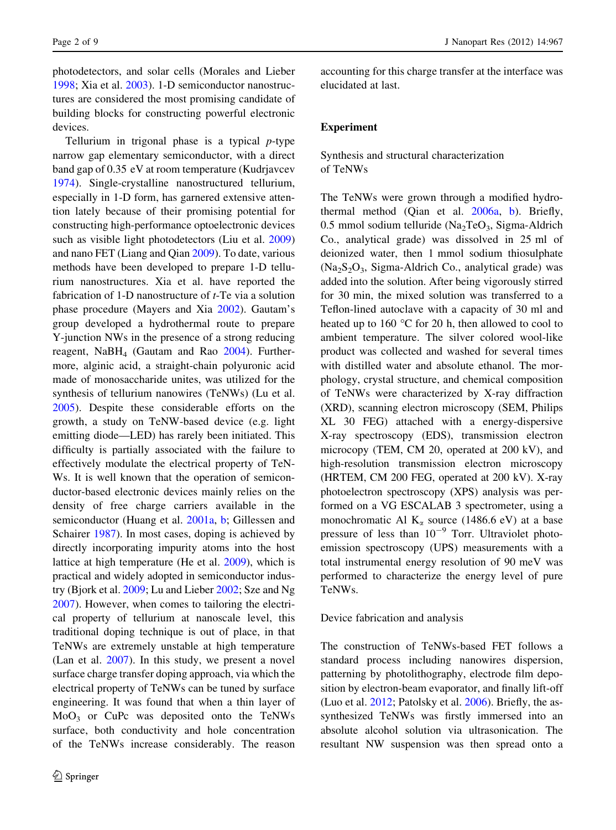photodetectors, and solar cells (Morales and Lieber [1998;](#page-8-0) Xia et al. [2003\)](#page-8-0). 1-D semiconductor nanostructures are considered the most promising candidate of building blocks for constructing powerful electronic devices.

Tellurium in trigonal phase is a typical  $p$ -type narrow gap elementary semiconductor, with a direct band gap of 0.35 eV at room temperature (Kudrjavcev [1974\)](#page-7-0). Single-crystalline nanostructured tellurium, especially in 1-D form, has garnered extensive attention lately because of their promising potential for constructing high-performance optoelectronic devices such as visible light photodetectors (Liu et al. [2009\)](#page-8-0) and nano FET (Liang and Qian [2009\)](#page-7-0). To date, various methods have been developed to prepare 1-D tellurium nanostructures. Xia et al. have reported the fabrication of 1-D nanostructure of  $t$ -Te via a solution phase procedure (Mayers and Xia [2002](#page-8-0)). Gautam's group developed a hydrothermal route to prepare Y-junction NWs in the presence of a strong reducing reagent,  $N$ a $BH$ <sub>4</sub> (Gautam and Rao [2004\)](#page-7-0). Furthermore, alginic acid, a straight-chain polyuronic acid made of monosaccharide unites, was utilized for the synthesis of tellurium nanowires (TeNWs) (Lu et al. [2005\)](#page-8-0). Despite these considerable efforts on the growth, a study on TeNW-based device (e.g. light emitting diode—LED) has rarely been initiated. This difficulty is partially associated with the failure to effectively modulate the electrical property of TeN-Ws. It is well known that the operation of semiconductor-based electronic devices mainly relies on the density of free charge carriers available in the semiconductor (Huang et al. [2001a](#page-7-0), [b](#page-7-0); Gillessen and Schairer [1987](#page-7-0)). In most cases, doping is achieved by directly incorporating impurity atoms into the host lattice at high temperature (He et al. [2009\)](#page-7-0), which is practical and widely adopted in semiconductor industry (Bjork et al. [2009](#page-7-0); Lu and Lieber [2002](#page-8-0); Sze and Ng [2007\)](#page-8-0). However, when comes to tailoring the electrical property of tellurium at nanoscale level, this traditional doping technique is out of place, in that TeNWs are extremely unstable at high temperature (Lan et al. [2007\)](#page-7-0). In this study, we present a novel surface charge transfer doping approach, via which the electrical property of TeNWs can be tuned by surface engineering. It was found that when a thin layer of MoO3 or CuPc was deposited onto the TeNWs surface, both conductivity and hole concentration of the TeNWs increase considerably. The reason

accounting for this charge transfer at the interface was elucidated at last.

### Experiment

## Synthesis and structural characterization of TeNWs

The TeNWs were grown through a modified hydrothermal method (Qian et al. [2006a](#page-8-0), [b\)](#page-8-0). Briefly, 0.5 mmol sodium telluride (Na<sub>2</sub>TeO<sub>3</sub>, Sigma-Aldrich Co., analytical grade) was dissolved in 25 ml of deionized water, then 1 mmol sodium thiosulphate  $(Na<sub>2</sub>S<sub>2</sub>O<sub>3</sub>$ , Sigma-Aldrich Co., analytical grade) was added into the solution. After being vigorously stirred for 30 min, the mixed solution was transferred to a Teflon-lined autoclave with a capacity of 30 ml and heated up to  $160 °C$  for 20 h, then allowed to cool to ambient temperature. The silver colored wool-like product was collected and washed for several times with distilled water and absolute ethanol. The morphology, crystal structure, and chemical composition of TeNWs were characterized by X-ray diffraction (XRD), scanning electron microscopy (SEM, Philips XL 30 FEG) attached with a energy-dispersive X-ray spectroscopy (EDS), transmission electron microcopy (TEM, CM 20, operated at 200 kV), and high-resolution transmission electron microscopy (HRTEM, CM 200 FEG, operated at 200 kV). X-ray photoelectron spectroscopy (XPS) analysis was performed on a VG ESCALAB 3 spectrometer, using a monochromatic Al  $K_{\alpha}$  source (1486.6 eV) at a base pressure of less than  $10^{-9}$  Torr. Ultraviolet photoemission spectroscopy (UPS) measurements with a total instrumental energy resolution of 90 meV was performed to characterize the energy level of pure TeNWs.

#### Device fabrication and analysis

The construction of TeNWs-based FET follows a standard process including nanowires dispersion, patterning by photolithography, electrode film deposition by electron-beam evaporator, and finally lift-off (Luo et al. [2012;](#page-8-0) Patolsky et al. [2006\)](#page-8-0). Briefly, the assynthesized TeNWs was firstly immersed into an absolute alcohol solution via ultrasonication. The resultant NW suspension was then spread onto a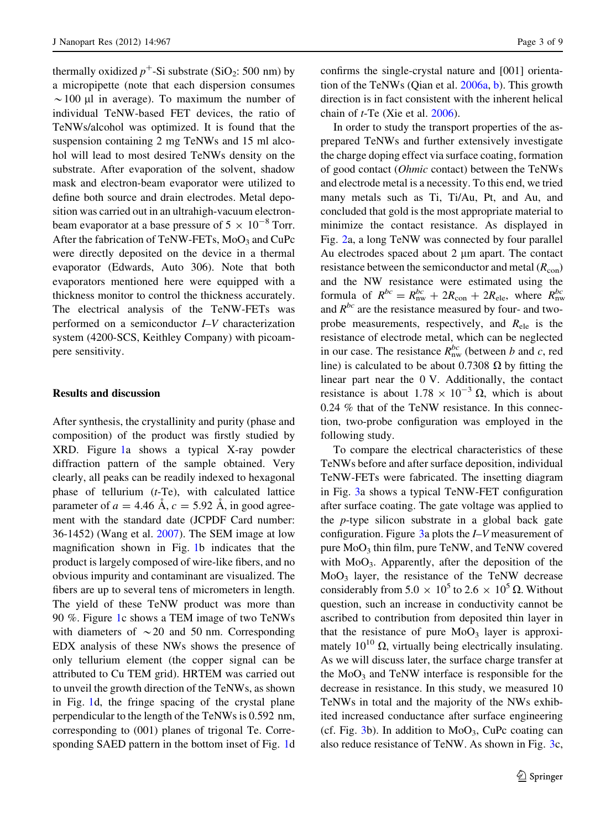thermally oxidized  $p^+$ -Si substrate (SiO<sub>2</sub>: 500 nm) by a micropipette (note that each dispersion consumes  $\sim$ 100 µl in average). To maximum the number of individual TeNW-based FET devices, the ratio of TeNWs/alcohol was optimized. It is found that the suspension containing 2 mg TeNWs and 15 ml alcohol will lead to most desired TeNWs density on the substrate. After evaporation of the solvent, shadow mask and electron-beam evaporator were utilized to define both source and drain electrodes. Metal deposition was carried out in an ultrahigh-vacuum electronbeam evaporator at a base pressure of  $5 \times 10^{-8}$  Torr. After the fabrication of TeNW-FETs,  $MoO<sub>3</sub>$  and CuPc were directly deposited on the device in a thermal evaporator (Edwards, Auto 306). Note that both evaporators mentioned here were equipped with a thickness monitor to control the thickness accurately. The electrical analysis of the TeNW-FETs was performed on a semiconductor I–V characterization system (4200-SCS, Keithley Company) with picoampere sensitivity.

#### Results and discussion

After synthesis, the crystallinity and purity (phase and composition) of the product was firstly studied by XRD. Figure [1a](#page-3-0) shows a typical X-ray powder diffraction pattern of the sample obtained. Very clearly, all peaks can be readily indexed to hexagonal phase of tellurium  $(t-Te)$ , with calculated lattice parameter of  $a = 4.46$  Å,  $c = 5.92$  Å, in good agreement with the standard date (JCPDF Card number: 36-1452) (Wang et al. [2007](#page-8-0)). The SEM image at low magnification shown in Fig. [1b](#page-3-0) indicates that the product is largely composed of wire-like fibers, and no obvious impurity and contaminant are visualized. The fibers are up to several tens of micrometers in length. The yield of these TeNW product was more than 90 %. Figure [1](#page-3-0)c shows a TEM image of two TeNWs with diameters of  $\sim$  20 and 50 nm. Corresponding EDX analysis of these NWs shows the presence of only tellurium element (the copper signal can be attributed to Cu TEM grid). HRTEM was carried out to unveil the growth direction of the TeNWs, as shown in Fig. [1d](#page-3-0), the fringe spacing of the crystal plane perpendicular to the length of the TeNWs is 0.592 nm, corresponding to (001) planes of trigonal Te. Corresponding SAED pattern in the bottom inset of Fig. [1](#page-3-0)d

confirms the single-crystal nature and [001] orientation of the TeNWs (Qian et al. [2006a,](#page-8-0) [b\)](#page-8-0). This growth direction is in fact consistent with the inherent helical chain of t-Te (Xie et al. [2006](#page-8-0)).

In order to study the transport properties of the asprepared TeNWs and further extensively investigate the charge doping effect via surface coating, formation of good contact (Ohmic contact) between the TeNWs and electrode metal is a necessity. To this end, we tried many metals such as Ti, Ti/Au, Pt, and Au, and concluded that gold is the most appropriate material to minimize the contact resistance. As displayed in Fig. [2a](#page-3-0), a long TeNW was connected by four parallel Au electrodes spaced about 2 µm apart. The contact resistance between the semiconductor and metal  $(R_{\rm con})$ and the NW resistance were estimated using the formula of  $R^{bc} = R_{\text{nw}}^{bc} + 2R_{\text{con}} + 2R_{\text{ele}}$ , where  $R_{\text{nw}}^{bc}$ and  $R^{bc}$  are the resistance measured by four- and twoprobe measurements, respectively, and  $R_{ele}$  is the resistance of electrode metal, which can be neglected in our case. The resistance  $R_{\text{nw}}^{bc}$  (between b and c, red line) is calculated to be about 0.7308  $\Omega$  by fitting the linear part near the 0 V. Additionally, the contact resistance is about  $1.78 \times 10^{-3} \Omega$ , which is about 0.24 % that of the TeNW resistance. In this connection, two-probe configuration was employed in the following study.

To compare the electrical characteristics of these TeNWs before and after surface deposition, individual TeNW-FETs were fabricated. The insetting diagram in Fig. [3](#page-4-0)a shows a typical TeNW-FET configuration after surface coating. The gate voltage was applied to the p-type silicon substrate in a global back gate configuration. Figure  $3a$  $3a$  plots the  $I-V$  measurement of pure  $MoO<sub>3</sub>$  thin film, pure TeNW, and TeNW covered with MoO<sub>3</sub>. Apparently, after the deposition of the  $MoO<sub>3</sub>$  layer, the resistance of the TeNW decrease considerably from  $5.0 \times 10^5$  to  $2.6 \times 10^5 \Omega$ . Without question, such an increase in conductivity cannot be ascribed to contribution from deposited thin layer in that the resistance of pure  $MoO<sub>3</sub>$  layer is approximately  $10^{10}$   $\Omega$ , virtually being electrically insulating. As we will discuss later, the surface charge transfer at the  $MoO<sub>3</sub>$  and TeNW interface is responsible for the decrease in resistance. In this study, we measured 10 TeNWs in total and the majority of the NWs exhibited increased conductance after surface engineering (cf. Fig. [3b](#page-4-0)). In addition to  $MoO<sub>3</sub>$ , CuPc coating can also reduce resistance of TeNW. As shown in Fig. [3](#page-4-0)c,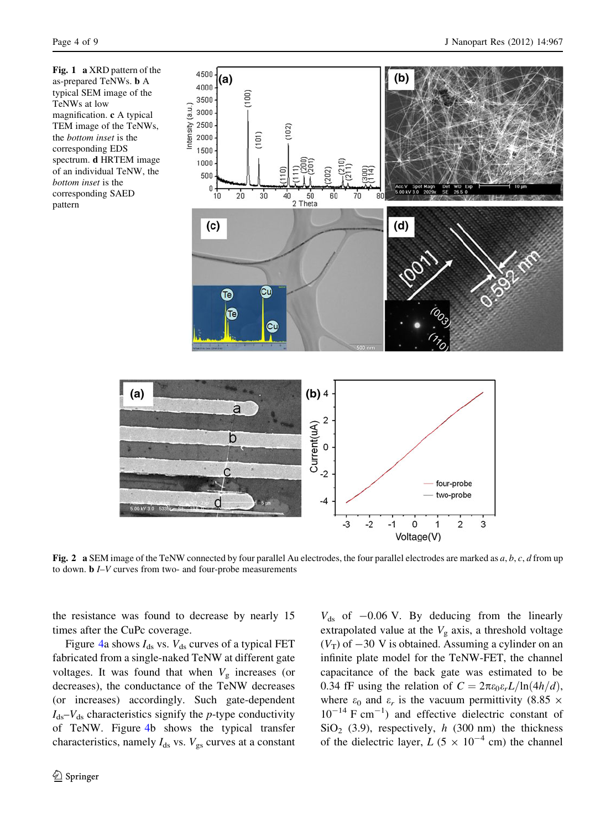<span id="page-3-0"></span>Fig. 1 a XRD pattern of the as-prepared TeNWs. b A typical SEM image of the TeNWs at low magnification. c A typical TEM image of the TeNWs, the bottom inset is the corresponding EDS spectrum. d HRTEM image of an individual TeNW, the bottom inset is the corresponding SAED pattern

 $(a)$ 



Fig. 2 a SEM image of the TeNW connected by four parallel Au electrodes, the four parallel electrodes are marked as  $a, b, c, d$  from up to down. b I–V curves from two- and four-probe measurements

the resistance was found to decrease by nearly 15 times after the CuPc coverage.

Figure [4](#page-4-0)a shows  $I_{ds}$  vs.  $V_{ds}$  curves of a typical FET fabricated from a single-naked TeNW at different gate voltages. It was found that when  $V<sub>g</sub>$  increases (or decreases), the conductance of the TeNW decreases (or increases) accordingly. Such gate-dependent  $I_{ds}-V_{ds}$  characteristics signify the *p*-type conductivity of TeNW. Figure [4b](#page-4-0) shows the typical transfer characteristics, namely  $I_{ds}$  vs.  $V_{gs}$  curves at a constant

 $V_{ds}$  of  $-0.06$  V. By deducing from the linearly extrapolated value at the  $V<sub>g</sub>$  axis, a threshold voltage  $(V_T)$  of  $-30$  V is obtained. Assuming a cylinder on an infinite plate model for the TeNW-FET, the channel capacitance of the back gate was estimated to be 0.34 fF using the relation of  $C = 2\pi\varepsilon_0 \varepsilon_r L/\ln(4h/d)$ , where  $\varepsilon_0$  and  $\varepsilon_r$  is the vacuum permittivity (8.85  $\times$  $10^{-14}$  F cm<sup>-1</sup>) and effective dielectric constant of  $SiO<sub>2</sub>$  (3.9), respectively, h (300 nm) the thickness of the dielectric layer,  $L (5 \times 10^{-4} \text{ cm})$  the channel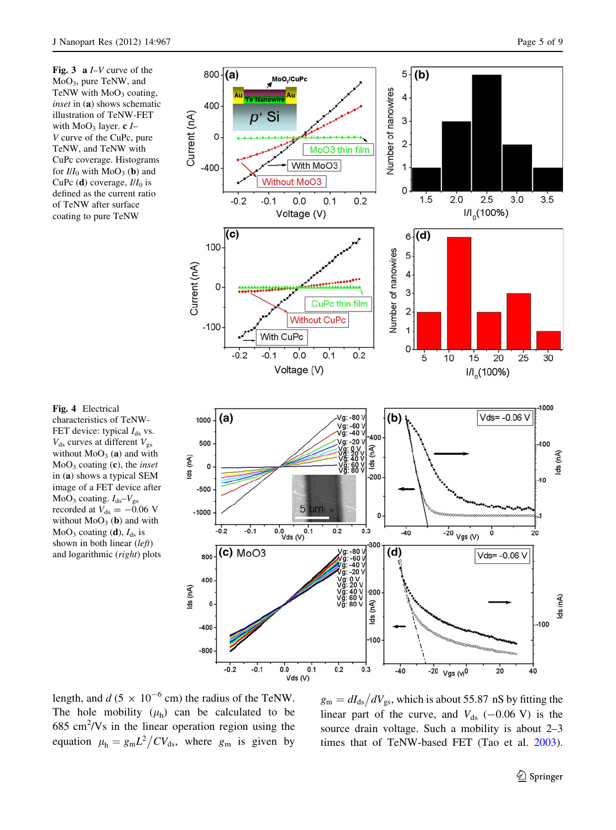<span id="page-4-0"></span>Fig. 3 a  $I-V$  curve of the MoO3, pure TeNW, and TeNW with  $MoO<sub>3</sub>$  coating, inset in (a) shows schematic illustration of TeNW-FET with  $MoO<sub>3</sub>$  layer. c *I*-V curve of the CuPc, pure TeNW, and TeNW with CuPc coverage. Histograms for  $I/I_0$  with MoO<sub>3</sub> (**b**) and CuPc (d) coverage,  $I/I_0$  is defined as the current ratio of TeNW after surface coating to pure TeNW



Fig. 4 Electrical characteristics of TeNW-FET device: typical  $I_{ds}$  vs.  $V_{ds}$  curves at different  $V_{gs}$ without  $MoO<sub>3</sub>(a)$  and with  $MoO<sub>3</sub> coating (c), the *inset*$ in (a) shows a typical SEM image of a FET device after MoO<sub>3</sub> coating.  $I_{ds}$ – $V_{gs}$ recorded at  $V_{ds} = -0.06$  V without  $MoO<sub>3</sub>$  (b) and with  $MoO<sub>3</sub> coating (**d**),  $I<sub>ds</sub>$  is$ shown in both linear (left) and logarithmic (right) plots

length, and  $d (5 \times 10^{-6} \text{ cm})$  the radius of the TeNW. The hole mobility  $(\mu_h)$  can be calculated to be  $685 \text{ cm}^2/\text{Vs}$  in the linear operation region using the equation  $\mu_h = g_m L^2 / CV_{ds}$ , where  $g_m$  is given by

 $g_{\rm m} = dI_{\rm ds}/dV_{\rm gs}$ , which is about 55.87 nS by fitting the linear part of the curve, and  $V_{ds}$  (-0.06 V) is the source drain voltage. Such a mobility is about 2–3 times that of TeNW-based FET (Tao et al. [2003](#page-8-0)).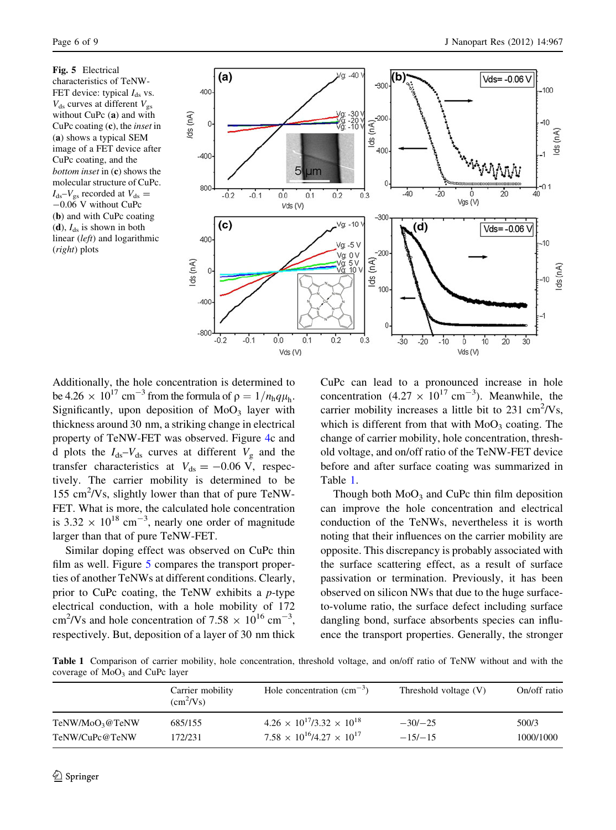Fig. 5 Electrical characteristics of TeNW-FET device: typical  $I_{ds}$  vs.  $V_{ds}$  curves at different  $V_{gs}$ without CuPc (a) and with CuPc coating  $(c)$ , the *inset* in (a) shows a typical SEM image of a FET device after CuPc coating, and the bottom inset in (c) shows the molecular structure of CuPc.  $I_{ds}-V_{gs}$  recorded at  $V_{ds} =$  $-0.06$  V without CuPc (b) and with CuPc coating (d),  $I_{ds}$  is shown in both linear (left) and logarithmic (right) plots



Additionally, the hole concentration is determined to be 4.26  $\times$  10<sup>17</sup> cm<sup>-3</sup> from the formula of  $\rho = 1/n_hq\mu_h$ . Significantly, upon deposition of  $MoO<sub>3</sub>$  layer with thickness around 30 nm, a striking change in electrical property of TeNW-FET was observed. Figure [4](#page-4-0)c and d plots the  $I_{ds}-V_{ds}$  curves at different  $V_g$  and the transfer characteristics at  $V_{ds} = -0.06$  V, respectively. The carrier mobility is determined to be 155 cm<sup>2</sup>/Vs, slightly lower than that of pure TeNW-FET. What is more, the calculated hole concentration is  $3.32 \times 10^{18}$  cm<sup>-3</sup>, nearly one order of magnitude larger than that of pure TeNW-FET.

Similar doping effect was observed on CuPc thin film as well. Figure 5 compares the transport properties of another TeNWs at different conditions. Clearly, prior to CuPc coating, the TeNW exhibits a  $p$ -type electrical conduction, with a hole mobility of 172 cm<sup>2</sup>/Vs and hole concentration of 7.58  $\times$  10<sup>16</sup> cm<sup>-3</sup>, respectively. But, deposition of a layer of 30 nm thick CuPc can lead to a pronounced increase in hole concentration  $(4.27 \times 10^{17} \text{ cm}^{-3})$ . Meanwhile, the carrier mobility increases a little bit to  $231 \text{ cm}^2/\text{Vs}$ , which is different from that with  $MoO<sub>3</sub>$  coating. The change of carrier mobility, hole concentration, threshold voltage, and on/off ratio of the TeNW-FET device before and after surface coating was summarized in Table 1.

Though both  $MoO<sub>3</sub>$  and CuPc thin film deposition can improve the hole concentration and electrical conduction of the TeNWs, nevertheless it is worth noting that their influences on the carrier mobility are opposite. This discrepancy is probably associated with the surface scattering effect, as a result of surface passivation or termination. Previously, it has been observed on silicon NWs that due to the huge surfaceto-volume ratio, the surface defect including surface dangling bond, surface absorbents species can influence the transport properties. Generally, the stronger

Table 1 Comparison of carrier mobility, hole concentration, threshold voltage, and on/off ratio of TeNW without and with the coverage of  $MoO<sub>3</sub>$  and CuPc layer

|                             | Carrier mobility<br>$(cm^2/Vs)$ | Hole concentration $\text{cm}^{-3}$ )       | Threshold voltage $(V)$ | On/off ratio |
|-----------------------------|---------------------------------|---------------------------------------------|-------------------------|--------------|
| TeNW/MoO <sub>3</sub> @TeNW | 685/155                         | $4.26 \times 10^{17} / 3.32 \times 10^{18}$ | $-30/ -25$              | 500/3        |
| TeNW/CuPc@TeNW              | 172/231                         | $7.58 \times 10^{16} / 4.27 \times 10^{17}$ | $-15/-15$               | 1000/1000    |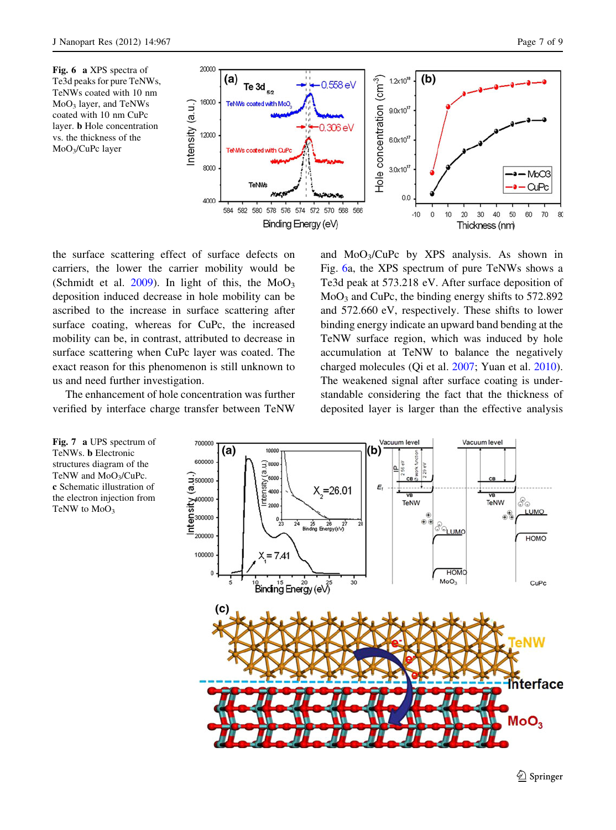<span id="page-6-0"></span>Fig. 6 a XPS spectra of Te3d peaks for pure TeNWs, TeNWs coated with 10 nm MoO3 layer, and TeNWs coated with 10 nm CuPc layer. b Hole concentration vs. the thickness of the MoO3/CuPc layer

 $3.0\times10<sup>1</sup>$ 

 $0.0$ 

 $-10$  $\Omega$  $10$ 20  $30$ 40 50 60  $70$ 80

Binding Energy (eV) the surface scattering effect of surface defects on carriers, the lower the carrier mobility would be (Schmidt et al.  $2009$ ). In light of this, the MoO<sub>3</sub> deposition induced decrease in hole mobility can be ascribed to the increase in surface scattering after surface coating, whereas for CuPc, the increased mobility can be, in contrast, attributed to decrease in surface scattering when CuPc layer was coated. The exact reason for this phenomenon is still unknown to us and need further investigation.

TeNWs coated with C

**TeNMs** 

576 574 572 570 568 566

584 582 580 578

8000

4000

The enhancement of hole concentration was further verified by interface charge transfer between TeNW and  $MoO<sub>3</sub>/CuPc$  by XPS analysis. As shown in Fig. 6a, the XPS spectrum of pure TeNWs shows a Te3d peak at 573.218 eV. After surface deposition of  $MoO<sub>3</sub>$  and CuPc, the binding energy shifts to 572.892 and 572.660 eV, respectively. These shifts to lower binding energy indicate an upward band bending at the TeNW surface region, which was induced by hole accumulation at TeNW to balance the negatively charged molecules (Qi et al. [2007;](#page-8-0) Yuan et al. [2010](#page-8-0)). The weakened signal after surface coating is understandable considering the fact that the thickness of deposited layer is larger than the effective analysis

Fig. 7 a UPS spectrum of TeNWs. b Electronic structures diagram of the TeNW and MoO<sub>3</sub>/CuPc. c Schematic illustration of the electron injection from TeNW to  $MoO<sub>3</sub>$ 



 $-M<sub>DC3</sub>$ 

 $-$  CuPc

Thickness (nm)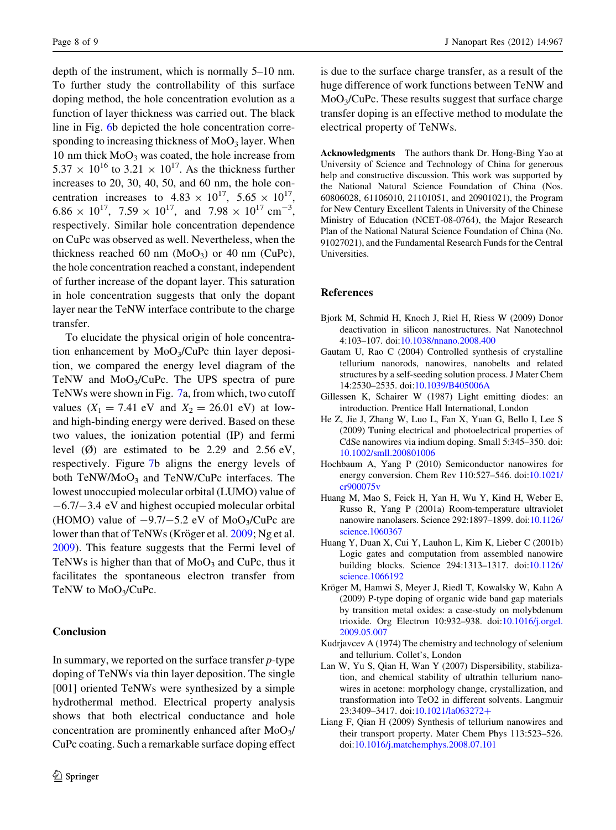<span id="page-7-0"></span>depth of the instrument, which is normally 5–10 nm. To further study the controllability of this surface doping method, the hole concentration evolution as a function of layer thickness was carried out. The black line in Fig. [6b](#page-6-0) depicted the hole concentration corresponding to increasing thickness of  $MoO<sub>3</sub>$  layer. When 10 nm thick  $MoO<sub>3</sub>$  was coated, the hole increase from  $5.37 \times 10^{16}$  to  $3.21 \times 10^{17}$ . As the thickness further increases to 20, 30, 40, 50, and 60 nm, the hole concentration increases to  $4.83 \times 10^{17}$ ,  $5.65 \times 10^{17}$ ,  $6.86 \times 10^{17}$ ,  $7.59 \times 10^{17}$ , and  $7.98 \times 10^{17}$  cm<sup>-3</sup>, respectively. Similar hole concentration dependence on CuPc was observed as well. Nevertheless, when the thickness reached 60 nm  $(MoO<sub>3</sub>)$  or 40 nm  $(CuPc)$ , the hole concentration reached a constant, independent of further increase of the dopant layer. This saturation in hole concentration suggests that only the dopant layer near the TeNW interface contribute to the charge transfer.

To elucidate the physical origin of hole concentration enhancement by  $MoO<sub>3</sub>/CuPc$  thin layer deposition, we compared the energy level diagram of the TeNW and  $MoO<sub>3</sub>/CuPc$ . The UPS spectra of pure TeNWs were shown in Fig. [7a](#page-6-0), from which, two cutoff values  $(X_1 = 7.41 \text{ eV} \text{ and } X_2 = 26.01 \text{ eV})$  at lowand high-binding energy were derived. Based on these two values, the ionization potential (IP) and fermi level  $(\emptyset)$  are estimated to be 2.29 and 2.56 eV, respectively. Figure [7](#page-6-0)b aligns the energy levels of both TeNW/MoO<sub>3</sub> and TeNW/CuPc interfaces. The lowest unoccupied molecular orbital (LUMO) value of  $-6.7/-3.4$  eV and highest occupied molecular orbital (HOMO) value of  $-9.7/-5.2$  eV of MoO<sub>3</sub>/CuPc are lower than that of TeNWs (Kröger et al. 2009; Ng et al. [2009\)](#page-8-0). This feature suggests that the Fermi level of TeNWs is higher than that of  $MoO<sub>3</sub>$  and CuPc, thus it facilitates the spontaneous electron transfer from TeNW to MoO<sub>3</sub>/CuPc.

### Conclusion

In summary, we reported on the surface transfer  $p$ -type doping of TeNWs via thin layer deposition. The single [001] oriented TeNWs were synthesized by a simple hydrothermal method. Electrical property analysis shows that both electrical conductance and hole concentration are prominently enhanced after  $MoO<sub>3</sub>/$ CuPc coating. Such a remarkable surface doping effect is due to the surface charge transfer, as a result of the huge difference of work functions between TeNW and  $MoO<sub>3</sub>/CuPc$ . These results suggest that surface charge transfer doping is an effective method to modulate the electrical property of TeNWs.

Acknowledgments The authors thank Dr. Hong-Bing Yao at University of Science and Technology of China for generous help and constructive discussion. This work was supported by the National Natural Science Foundation of China (Nos. 60806028, 61106010, 21101051, and 20901021), the Program for New Century Excellent Talents in University of the Chinese Ministry of Education (NCET-08-0764), the Major Research Plan of the National Natural Science Foundation of China (No. 91027021), and the Fundamental Research Funds for the Central Universities.

## References

- Bjork M, Schmid H, Knoch J, Riel H, Riess W (2009) Donor deactivation in silicon nanostructures. Nat Nanotechnol 4:103–107. doi:[10.1038/nnano.2008.400](http://dx.doi.org/10.1038/nnano.2008.400)
- Gautam U, Rao C (2004) Controlled synthesis of crystalline tellurium nanorods, nanowires, nanobelts and related structures by a self-seeding solution process. J Mater Chem 14:2530–2535. doi:[10.1039/B405006A](http://dx.doi.org/10.1039/B405006A)
- Gillessen K, Schairer W (1987) Light emitting diodes: an introduction. Prentice Hall International, London
- He Z, Jie J, Zhang W, Luo L, Fan X, Yuan G, Bello I, Lee S (2009) Tuning electrical and photoelectrical properties of CdSe nanowires via indium doping. Small 5:345–350. doi: [10.1002/smll.200801006](http://dx.doi.org/10.1002/smll.200801006)
- Hochbaum A, Yang P (2010) Semiconductor nanowires for energy conversion. Chem Rev 110:527–546. doi[:10.1021/](http://dx.doi.org/10.1021/cr900075v) [cr900075v](http://dx.doi.org/10.1021/cr900075v)
- Huang M, Mao S, Feick H, Yan H, Wu Y, Kind H, Weber E, Russo R, Yang P (2001a) Room-temperature ultraviolet nanowire nanolasers. Science 292:1897–1899. doi[:10.1126/](http://dx.doi.org/10.1126/science.1060367) [science.1060367](http://dx.doi.org/10.1126/science.1060367)
- Huang Y, Duan X, Cui Y, Lauhon L, Kim K, Lieber C (2001b) Logic gates and computation from assembled nanowire building blocks. Science 294:1313–1317. doi[:10.1126/](http://dx.doi.org/10.1126/science.1066192) [science.1066192](http://dx.doi.org/10.1126/science.1066192)
- Kröger M, Hamwi S, Meyer J, Riedl T, Kowalsky W, Kahn A (2009) P-type doping of organic wide band gap materials by transition metal oxides: a case-study on molybdenum trioxide. Org Electron 10:932–938. doi[:10.1016/j.orgel.](http://dx.doi.org/10.1016/j.orgel.2009.05.007) [2009.05.007](http://dx.doi.org/10.1016/j.orgel.2009.05.007)
- Kudrjavcev A (1974) The chemistry and technology of selenium and tellurium. Collet's, London
- Lan W, Yu S, Qian H, Wan Y (2007) Dispersibility, stabilization, and chemical stability of ultrathin tellurium nanowires in acetone: morphology change, crystallization, and transformation into TeO2 in different solvents. Langmuir 23:3409-3417. doi:[10.1021/la063272](http://dx.doi.org/10.1021/la063272%2b)+
- Liang F, Qian H (2009) Synthesis of tellurium nanowires and their transport property. Mater Chem Phys 113:523–526. doi[:10.1016/j.matchemphys.2008.07.101](http://dx.doi.org/10.1016/j.matchemphys.2008.07.101)